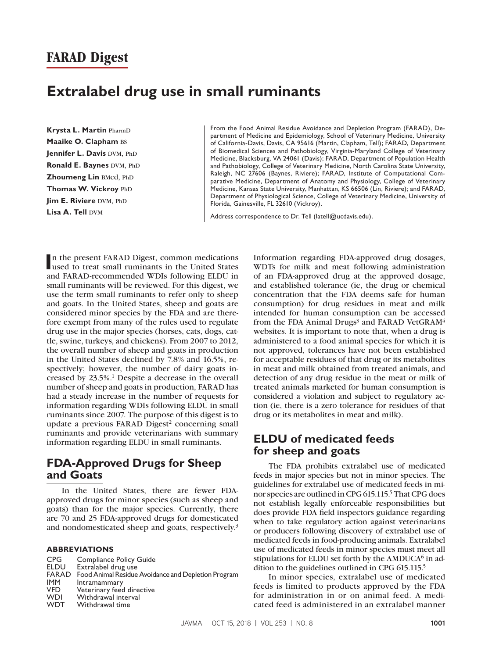# **Extralabel drug use in small ruminants**

**Krysta L. Martin** pharmd **Maaike O. Clapham** bs Jennifer L. Davis DVM, PhD **Ronald E. Baynes DVM, PhD Zhoumeng Lin BMed, PhD Thomas W. Vickroy PhD Jim E. Riviere DVM, PhD Lisa A. Tell DVM** 

From the Food Animal Residue Avoidance and Depletion Program (FARAD), Department of Medicine and Epidemiology, School of Veterinary Medicine, University of California-Davis, Davis, CA 95616 (Martin, Clapham, Tell); FARAD, Department of Biomedical Sciences and Pathobiology, Virginia-Maryland College of Veterinary Medicine, Blacksburg, VA 24061 (Davis); FARAD, Department of Population Health and Pathobiology, College of Veterinary Medicine, North Carolina State University, Raleigh, NC 27606 (Baynes, Riviere); FARAD, Institute of Computational Comparative Medicine, Department of Anatomy and Physiology, College of Veterinary Medicine, Kansas State University, Manhattan, KS 66506 (Lin, Riviere); and FARAD, Department of Physiological Science, College of Veterinary Medicine, University of Florida, Gainesville, FL 32610 (Vickroy).

Address correspondence to Dr. Tell ([latell@ucdavis.edu\)](mailto:latell@ucdavis.edu).

In the present FARAD Digest, common medications<br>used to treat small ruminants in the United States used to treat small ruminants in the United States and FARAD-recommended WDIs following ELDU in small ruminants will be reviewed. For this digest, we use the term small ruminants to refer only to sheep and goats. In the United States, sheep and goats are considered minor species by the FDA and are therefore exempt from many of the rules used to regulate drug use in the major species (horses, cats, dogs, cattle, swine, turkeys, and chickens). From 2007 to 2012, the overall number of sheep and goats in production in the United States declined by 7.8% and 16.5%, respectively; however, the number of dairy goats increased by 23.5%.1 Despite a decrease in the overall number of sheep and goats in production, FARAD has had a steady increase in the number of requests for information regarding WDIs following ELDU in small ruminants since 2007. The purpose of this digest is to update a previous FARAD Digest<sup>2</sup> concerning small ruminants and provide veterinarians with summary information regarding ELDU in small ruminants.

# **FDA-Approved Drugs for Sheep and Goats**

In the United States, there are fewer FDAapproved drugs for minor species (such as sheep and goats) than for the major species. Currently, there are 70 and 25 FDA-approved drugs for domesticated and nondomesticated sheep and goats, respectively.3

#### **ABBREVIATIONS**

| CPG          | Compliance Policy Guide                             |
|--------------|-----------------------------------------------------|
| <b>ELDU</b>  | Extralabel drug use                                 |
| <b>FARAD</b> | Food Animal Residue Avoidance and Depletion Program |
| <b>IMM</b>   | Intramammary                                        |
| VFD.         | Veterinary feed directive                           |
| <b>WDI</b>   | Withdrawal interval                                 |
| <b>WDT</b>   | Withdrawal time                                     |

Information regarding FDA-approved drug dosages, WDTs for milk and meat following administration of an FDA-approved drug at the approved dosage, and established tolerance (ie, the drug or chemical concentration that the FDA deems safe for human consumption) for drug residues in meat and milk intended for human consumption can be accessed from the FDA Animal Drugs<sup>3</sup> and FARAD VetGRA $M<sup>4</sup>$ websites. It is important to note that, when a drug is administered to a food animal species for which it is not approved, tolerances have not been established for acceptable residues of that drug or its metabolites in meat and milk obtained from treated animals, and detection of any drug residue in the meat or milk of treated animals marketed for human consumption is considered a violation and subject to regulatory action (ie, there is a zero tolerance for residues of that drug or its metabolites in meat and milk).

#### **ELDU of medicated feeds for sheep and goats**

The FDA prohibits extralabel use of medicated feeds in major species but not in minor species. The guidelines for extralabel use of medicated feeds in minor species are outlined in CPG 615.115.<sup>5</sup> That CPG does not establish legally enforceable responsibilities but does provide FDA field inspectors guidance regarding when to take regulatory action against veterinarians or producers following discovery of extralabel use of medicated feeds in food-producing animals. Extralabel use of medicated feeds in minor species must meet all stipulations for ELDU set forth by the  $AMDUCA<sup>6</sup>$  in addition to the guidelines outlined in CPG 615.115.<sup>5</sup>

In minor species, extralabel use of medicated feeds is limited to products approved by the FDA for administration in or on animal feed. A medicated feed is administered in an extralabel manner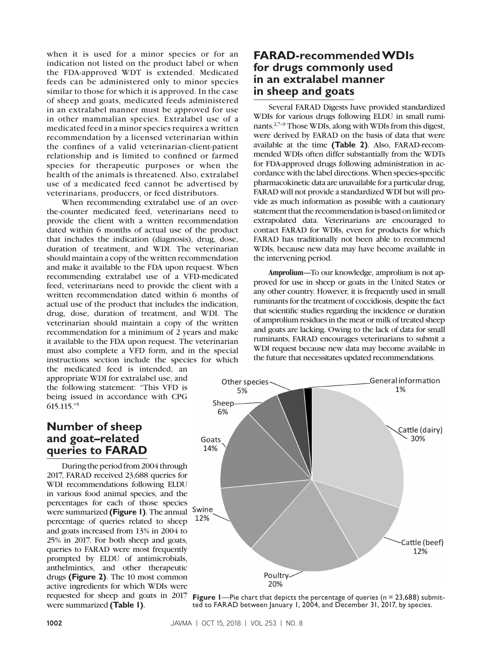when it is used for a minor species or for an indication not listed on the product label or when the FDA-approved WDT is extended. Medicated feeds can be administered only to minor species similar to those for which it is approved. In the case of sheep and goats, medicated feeds administered in an extralabel manner must be approved for use in other mammalian species. Extralabel use of a medicated feed in a minor species requires a written recommendation by a licensed veterinarian within the confines of a valid veterinarian-client-patient relationship and is limited to confined or farmed species for therapeutic purposes or when the health of the animals is threatened. Also, extralabel use of a medicated feed cannot be advertised by veterinarians, producers, or feed distributors.

When recommending extralabel use of an overthe-counter medicated feed, veterinarians need to provide the client with a written recommendation dated within 6 months of actual use of the product that includes the indication (diagnosis), drug, dose, duration of treatment, and WDI. The veterinarian should maintain a copy of the written recommendation and make it available to the FDA upon request. When recommending extralabel use of a VFD-medicated feed, veterinarians need to provide the client with a written recommendation dated within 6 months of actual use of the product that includes the indication, drug, dose, duration of treatment, and WDI. The veterinarian should maintain a copy of the written recommendation for a minimum of 2 years and make it available to the FDA upon request. The veterinarian must also complete a VFD form, and in the special instructions section include the species for which

the medicated feed is intended, an appropriate WDI for extralabel use, and the following statement: "This VFD is being issued in accordance with CPG 615.115."5

#### **Number of sheep and goat–related queries to FARAD**

During the period from 2004 through 2017, FARAD received 23,688 queries for WDI recommendations following ELDU in various food animal species, and the percentages for each of those species were summarized **(Figure 1)**. The annual percentage of queries related to sheep and goats increased from 13% in 2004 to 25% in 2017. For both sheep and goats, queries to FARAD were most frequently prompted by ELDU of antimicrobials, anthelmintics, and other therapeutic drugs **(Figure 2)**. The 10 most common active ingredients for which WDIs were requested for sheep and goats in 2017 were summarized **(Table 1)**.

### **FARAD-recommended WDIs for drugs commonly used in an extralabel manner in sheep and goats**

Several FARAD Digests have provided standardized WDIs for various drugs following ELDU in small ruminants.2,7–9 Those WDIs, along with WDIs from this digest, were derived by FARAD on the basis of data that were available at the time **(Table 2)**. Also, FARAD-recommended WDIs often differ substantially from the WDTs for FDA-approved drugs following administration in accordance with the label directions. When species-specific pharmacokinetic data are unavailable for a particular drug, FARAD will not provide a standardized WDI but will provide as much information as possible with a cautionary statement that the recommendation is based on limited or extrapolated data. Veterinarians are encouraged to contact FARAD for WDIs, even for products for which FARAD has traditionally not been able to recommend WDIs, because new data may have become available in the intervening period.

**Amprolium**—To our knowledge, amprolium is not approved for use in sheep or goats in the United States or any other country. However, it is frequently used in small ruminants for the treatment of coccidiosis, despite the fact that scientific studies regarding the incidence or duration of amprolium residues in the meat or milk of treated sheep and goats are lacking. Owing to the lack of data for small ruminants, FARAD encourages veterinarians to submit a WDI request because new data may become available in the future that necessitates updated recommendations.



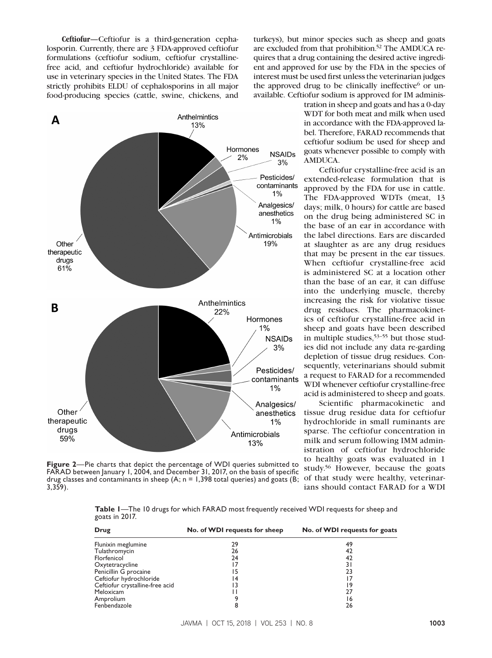**Ceftiofur**—Ceftiofur is a third-generation cephalosporin. Currently, there are 3 FDA-approved ceftiofur formulations (ceftiofur sodium, ceftiofur crystallinefree acid, and ceftiofur hydrochloride) available for use in veterinary species in the United States. The FDA strictly prohibits ELDU of cephalosporins in all major food-producing species (cattle, swine, chickens, and



**Figure 2**—Pie charts that depict the percentage of WDI queries submitted to FARAD between January 1, 2004, and December 31, 2017, on the basis of specific drug classes and contaminants in sheep (A;  $n = 1,398$  total queries) and goats (B; 3,359).

turkeys), but minor species such as sheep and goats are excluded from that prohibition.52 The AMDUCA requires that a drug containing the desired active ingredient and approved for use by the FDA in the species of interest must be used first unless the veterinarian judges the approved drug to be clinically ineffective $6$  or unavailable. Ceftiofur sodium is approved for IM adminis-

tration in sheep and goats and has a 0-day WDT for both meat and milk when used in accordance with the FDA-approved label. Therefore, FARAD recommends that ceftiofur sodium be used for sheep and goats whenever possible to comply with AMDUCA.

Ceftiofur crystalline-free acid is an extended-release formulation that is approved by the FDA for use in cattle. The FDA-approved WDTs (meat, 13 days; milk, 0 hours) for cattle are based on the drug being administered SC in the base of an ear in accordance with the label directions. Ears are discarded at slaughter as are any drug residues that may be present in the ear tissues. When ceftiofur crystalline-free acid is administered SC at a location other than the base of an ear, it can diffuse into the underlying muscle, thereby increasing the risk for violative tissue drug residues. The pharmacokinetics of ceftiofur crystalline-free acid in sheep and goats have been described in multiple studies,53–55 but those studies did not include any data re-garding depletion of tissue drug residues. Consequently, veterinarians should submit a request to FARAD for a recommended WDI whenever ceftiofur crystalline-free acid is administered to sheep and goats.

Scientific pharmacokinetic and tissue drug residue data for ceftiofur hydrochloride in small ruminants are sparse. The ceftiofur concentration in milk and serum following IMM administration of ceftiofur hydrochloride to healthy goats was evaluated in 1 study.56 However, because the goats of that study were healthy, veterinarians should contact FARAD for a WDI

**Table 1**—The 10 drugs for which FARAD most frequently received WDI requests for sheep and goats in 2017.

| Drug                            | No. of WDI requests for sheep | No. of WDI requests for goats |  |  |
|---------------------------------|-------------------------------|-------------------------------|--|--|
| Flunixin meglumine              | 29                            | 49                            |  |  |
| Tulathromycin                   | 26                            | 42                            |  |  |
| Florfenicol                     | 24                            | 42                            |  |  |
| Oxytetracycline                 |                               | 3 I                           |  |  |
| Penicillin G procaine           | 15                            | 23                            |  |  |
| Ceftiofur hydrochloride         | 14                            |                               |  |  |
| Ceftiofur crystalline-free acid | 13                            | ۱9                            |  |  |
| Meloxicam                       |                               | 27                            |  |  |
| Amprolium                       |                               | 16                            |  |  |
| Fenbendazole                    |                               | 26                            |  |  |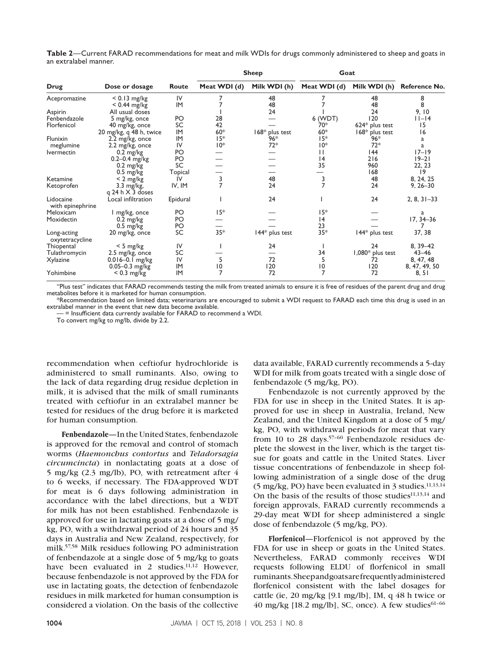| <b>Drug</b>                    | Dose or dosage                    | Route    | <b>Sheep</b> |                  | Goat           |                  |                            |
|--------------------------------|-----------------------------------|----------|--------------|------------------|----------------|------------------|----------------------------|
|                                |                                   |          | Meat WDI (d) | Milk WDI (h)     | Meat WDI (d)   | Milk WDI (h)     | Reference No.              |
| Acepromazine                   | $< 0.13$ mg/kg                    | IV       |              | 48               |                | 48               | 8                          |
|                                | $< 0.44$ mg/kg                    | IM       |              | 48               |                | 48               | 8                          |
| Aspirin                        | All usual doses                   |          |              | 24               |                | 24               | 9, 10                      |
| Fenbendazole                   | 5 mg/kg, once                     | PO       | 28           |                  | 6 (WDT)        | 120              | $ 1 - 4 $                  |
| Florfenicol                    | 40 mg/kg, once                    | SC       | 42           |                  | 70*            | $624*$ plus test | 15                         |
|                                | 20 mg/kg, q 48 h, twice           | IM       | $60*$        | $168*$ plus test | $60*$          | 168* plus test   | 16                         |
| Flunixin                       | 2.2 mg/kg, once                   | IM       | $15*$        | 96*              | $15*$          | $96*$            | a                          |
| meglumine                      | 2.2 mg/kg, once                   | IV       | $10*$        | $72*$            | $10*$          | $72*$            | a                          |
| lvermectin                     | $0.2$ mg/kg                       | PO       |              |                  | П              | 44               | $17 - 19$                  |
|                                | $0.2 - 0.4$ mg/kg                 | PO       |              |                  | 4              | 216              | $19 - 21$                  |
|                                | $0.2$ mg/kg                       | SC       |              |                  | 35             | 960              | 22, 23                     |
|                                | $0.5$ mg/kg                       | Topical  |              |                  |                | 168              | 9                          |
| Ketamine                       | $< 2$ mg/kg                       | IV       | 3            | 48               | 3              | 48               | 8, 24, 25                  |
| Ketoprofen                     | 3.3 mg/kg,                        | IV, IM   | 7            | 24               | $\overline{7}$ | 24               | $9, 26 - 30$               |
|                                | q 24 h $\times$ 3 doses           |          |              |                  |                |                  |                            |
| Lidocaine<br>with epinephrine  | Local infiltration                | Epidural |              | 24               |                | 24               | $2, 8, 31 - 33$            |
| Meloxicam                      | I mg/kg, once                     | PO       | $15*$        |                  | $15*$          |                  | a                          |
| Moxidectin                     | $0.2 \text{ mg/kg}$               | PO       |              |                  | 14             |                  | $17, 34 - 36$              |
|                                | $0.5$ mg/kg                       | PO       |              |                  | 23             |                  |                            |
| Long-acting<br>oxytetracycline | 20 mg/kg, once                    | SC       | $35*$        | 144* plus test   | $35*$          | 144* plus test   | 37, 38                     |
| Thiopental                     | $< 5$ mg/kg                       | IV       |              | 24               |                | 24               | $8, 39 - 42$               |
| Tulathromycin                  | 2.5 mg/kg, once                   | SC       |              |                  | 34             | 1,080* plus test | $43 - 46$                  |
| Xylazine                       | 0.016-0.1 mg/kg<br>0.05-0.3 mg/kg | IV<br>IM | 5<br>10      | 72<br>120        | 5<br>10        | 72<br>120        | 8, 47, 48<br>8, 47, 49, 50 |
| Yohimbine                      | $< 0.3$ mg/ $\overline{k}$ g      | IM       | 7            | 72               | 7              | 72               | 8, 51                      |

**Table 2**—Current FARAD recommendations for meat and milk WDIs for drugs commonly administered to sheep and goats in an extralabel manner.

"Plus test" indicates that FARAD recommends testing the milk from treated animals to ensure it is free of residues of the parent drug and drug metabolites before it is marketed for human consumption.

\*Recommendation based on limited data; veterinarians are encouraged to submit a WDI request to FARAD each time this drug is used in an extralabel manner in the event that new data become available.

— = Insufficient data currently available for FARAD to recommend a WDI.

To convert mg/kg to mg/lb, divide by 2.2.

recommendation when ceftiofur hydrochloride is administered to small ruminants. Also, owing to the lack of data regarding drug residue depletion in milk, it is advised that the milk of small ruminants treated with ceftiofur in an extralabel manner be tested for residues of the drug before it is marketed for human consumption.

**Fenbendazole**—In the United States, fenbendazole is approved for the removal and control of stomach worms (*Haemonchus contortus* and *Teladorsagia circumcincta*) in nonlactating goats at a dose of 5 mg/kg (2.3 mg/lb), PO, with retreatment after 4 to 6 weeks, if necessary. The FDA-approved WDT for meat is 6 days following administration in accordance with the label directions, but a WDT for milk has not been established. Fenbendazole is approved for use in lactating goats at a dose of 5 mg/ kg, PO, with a withdrawal period of 24 hours and 35 days in Australia and New Zealand, respectively, for milk.57,58 Milk residues following PO administration of fenbendazole at a single dose of 5 mg/kg to goats have been evaluated in 2 studies.<sup>11,12</sup> However, because fenbendazole is not approved by the FDA for use in lactating goats, the detection of fenbendazole residues in milk marketed for human consumption is considered a violation. On the basis of the collective

data available, FARAD currently recommends a 5-day WDI for milk from goats treated with a single dose of fenbendazole (5 mg/kg, PO).

Fenbendazole is not currently approved by the FDA for use in sheep in the United States. It is approved for use in sheep in Australia, Ireland, New Zealand, and the United Kingdom at a dose of 5 mg/ kg, PO, with withdrawal periods for meat that vary from 10 to 28 days.<sup>57-60</sup> Fenbendazole residues deplete the slowest in the liver, which is the target tissue for goats and cattle in the United States. Liver tissue concentrations of fenbendazole in sheep following administration of a single dose of the drug (5 mg/kg, PO) have been evaluated in 3 studies.11,13,14 On the basis of the results of those studies $11,13,14$  and foreign approvals, FARAD currently recommends a 29-day meat WDI for sheep administered a single dose of fenbendazole (5 mg/kg, PO).

**Florfenicol**—Florfenicol is not approved by the FDA for use in sheep or goats in the United States. Nevertheless, FARAD commonly receives WDI requests following ELDU of florfenicol in small ruminants. Sheep and goats are frequently administered florfenicol consistent with the label dosages for cattle (ie, 20 mg/kg [9.1 mg/lb], IM, q 48 h twice or  $40 \text{ mg/kg}$  [18.2 mg/lb], SC, once). A few studies<sup>61-66</sup>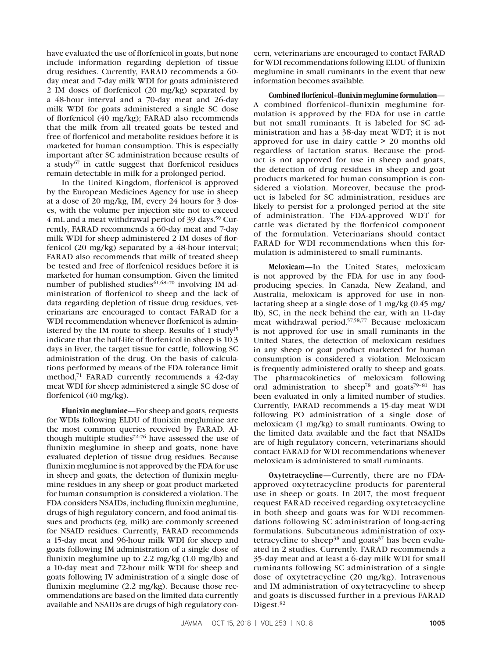have evaluated the use of florfenicol in goats, but none include information regarding depletion of tissue drug residues. Currently, FARAD recommends a 60 day meat and 7-day milk WDI for goats administered 2 IM doses of florfenicol (20 mg/kg) separated by a 48-hour interval and a 70-day meat and 26-day milk WDI for goats administered a single SC dose of florfenicol (40 mg/kg); FARAD also recommends that the milk from all treated goats be tested and free of florfenicol and metabolite residues before it is marketed for human consumption. This is especially important after SC administration because results of a study $67$  in cattle suggest that florfenicol residues remain detectable in milk for a prolonged period.

In the United Kingdom, florfenicol is approved by the European Medicines Agency for use in sheep at a dose of 20 mg/kg, IM, every 24 hours for 3 doses, with the volume per injection site not to exceed 4 mL and a meat withdrawal period of 39 days.59 Currently, FARAD recommends a 60-day meat and 7-day milk WDI for sheep administered 2 IM doses of florfenicol (20 mg/kg) separated by a 48-hour interval; FARAD also recommends that milk of treated sheep be tested and free of florfenicol residues before it is marketed for human consumption. Given the limited number of published studies $61,68-70$  involving IM administration of florfenicol to sheep and the lack of data regarding depletion of tissue drug residues, veterinarians are encouraged to contact FARAD for a WDI recommendation whenever florfenicol is administered by the IM route to sheep. Results of 1 study<sup>15</sup> indicate that the half-life of florfenicol in sheep is 10.3 days in liver, the target tissue for cattle, following SC administration of the drug. On the basis of calculations performed by means of the FDA tolerance limit method,71 FARAD currently recommends a 42-day meat WDI for sheep administered a single SC dose of florfenicol (40 mg/kg).

**Flunixin meglumine**—For sheep and goats, requests for WDIs following ELDU of flunixin meglumine are the most common queries received by FARAD. Although multiple studies72–76 have assessed the use of flunixin meglumine in sheep and goats, none have evaluated depletion of tissue drug residues. Because flunixin meglumine is not approved by the FDA for use in sheep and goats, the detection of flunixin meglumine residues in any sheep or goat product marketed for human consumption is considered a violation. The FDA considers NSAIDs, including flunixin meglumine, drugs of high regulatory concern, and food animal tissues and products (eg, milk) are commonly screened for NSAID residues. Currently, FARAD recommends a 15-day meat and 96-hour milk WDI for sheep and goats following IM administration of a single dose of flunixin meglumine up to 2.2 mg/kg (1.0 mg/lb) and a 10-day meat and 72-hour milk WDI for sheep and goats following IV administration of a single dose of flunixin meglumine (2.2 mg/kg). Because those recommendations are based on the limited data currently available and NSAIDs are drugs of high regulatory concern, veterinarians are encouraged to contact FARAD for WDI recommendations following ELDU of flunixin meglumine in small ruminants in the event that new information becomes available.

**Combined florfenicol–flunixin meglumine formulation**— A combined florfenicol–flunixin meglumine formulation is approved by the FDA for use in cattle but not small ruminants. It is labeled for SC administration and has a 38-day meat WDT; it is not approved for use in dairy cattle > 20 months old regardless of lactation status. Because the product is not approved for use in sheep and goats, the detection of drug residues in sheep and goat products marketed for human consumption is considered a violation. Moreover, because the product is labeled for SC administration, residues are likely to persist for a prolonged period at the site of administration. The FDA-approved WDT for cattle was dictated by the florfenicol component of the formulation. Veterinarians should contact FARAD for WDI recommendations when this formulation is administered to small ruminants.

**Meloxicam**—In the United States, meloxicam is not approved by the FDA for use in any foodproducing species. In Canada, New Zealand, and Australia, meloxicam is approved for use in nonlactating sheep at a single dose of 1 mg/kg (0.45 mg/ lb), SC, in the neck behind the ear, with an 11-day meat withdrawal period.57,58,77 Because meloxicam is not approved for use in small ruminants in the United States, the detection of meloxicam residues in any sheep or goat product marketed for human consumption is considered a violation. Meloxicam is frequently administered orally to sheep and goats. The pharmacokinetics of meloxicam following oral administration to sheep<sup>78</sup> and goats<sup>79-81</sup> has been evaluated in only a limited number of studies. Currently, FARAD recommends a 15-day meat WDI following PO administration of a single dose of meloxicam (1 mg/kg) to small ruminants. Owing to the limited data available and the fact that NSAIDs are of high regulatory concern, veterinarians should contact FARAD for WDI recommendations whenever meloxicam is administered to small ruminants.

**Oxytetracycline**—Currently, there are no FDAapproved oxytetracycline products for parenteral use in sheep or goats. In 2017, the most frequent request FARAD received regarding oxytetracycline in both sheep and goats was for WDI recommendations following SC administration of long-acting formulations. Subcutaneous administration of oxytetracycline to sheep<sup>38</sup> and goats<sup>37</sup> has been evaluated in 2 studies. Currently, FARAD recommends a 35-day meat and at least a 6-day milk WDI for small ruminants following SC administration of a single dose of oxytetracycline (20 mg/kg). Intravenous and IM administration of oxytetracycline to sheep and goats is discussed further in a previous FARAD Digest.<sup>82</sup>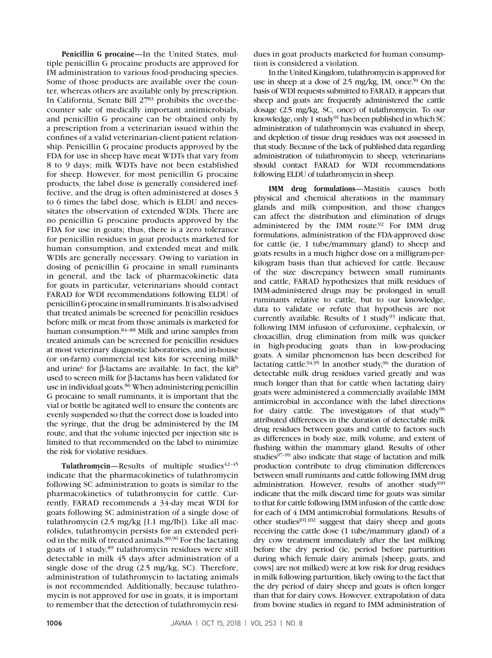**Penicillin G procaine**—In the United States, multiple penicillin G procaine products are approved for IM administration to various food-producing species. Some of those products are available over the counter, whereas others are available only by prescription. In California, Senate Bill 2783 prohibits the over-thecounter sale of medically important antimicrobials, and penicillin G procaine can be obtained only by a prescription from a veterinarian issued within the confines of a valid veterinarian-client-patient relationship. Penicillin G procaine products approved by the FDA for use in sheep have meat WDTs that vary from 8 to 9 days; milk WDTs have not been established for sheep. However, for most penicillin G procaine products, the label dose is generally considered ineffective, and the drug is often administered at doses 3 to 6 times the label dose, which is ELDU and necessitates the observation of extended WDIs. There are no penicillin G procaine products approved by the FDA for use in goats; thus, there is a zero tolerance for penicillin residues in goat products marketed for human consumption, and extended meat and milk WDIs are generally necessary. Owing to variation in dosing of penicillin G procaine in small ruminants in general, and the lack of pharmacokinetic data for goats in particular, veterinarians should contact FARAD for WDI recommendations following ELDU of penicillin G procaine in small ruminants. It is also advised that treated animals be screened for penicillin residues before milk or meat from those animals is marketed for human consumption.84–88 Milk and urine samples from treated animals can be screened for penicillin residues at most veterinary diagnostic laboratories, and in-house (or on-farm) commercial test kits for screening milk $\bar{b}$ and urine<sup>c</sup> for β-lactams are available. In fact, the kit<sup>b</sup> used to screen milk for β-lactams has been validated for use in individual goats.<sup>86</sup> When administering penicillin G procaine to small ruminants, it is important that the vial or bottle be agitated well to ensure the contents are evenly suspended so that the correct dose is loaded into the syringe, that the drug be administered by the IM route, and that the volume injected per injection site is limited to that recommended on the label to minimize the risk for violative residues.

**Tulathromycin—Results** of multiple studies $42-45$ indicate that the pharmacokinetics of tulathromycin following SC administration to goats is similar to the pharmacokinetics of tulathromycin for cattle. Currently, FARAD recommends a 34-day meat WDI for goats following SC administration of a single dose of tulathromycin (2.5 mg/kg [1.1 mg/lb]). Like all macrolides, tulathromycin persists for an extended period in the milk of treated animals.<sup>89,90</sup> For the lactating goats of 1 study,89 tulathromycin residues were still detectable in milk 45 days after administration of a single dose of the drug (2.5 mg/kg, SC). Therefore, administration of tulathromycin to lactating animals is not recommended. Additionally, because tulathromycin is not approved for use in goats, it is important to remember that the detection of tulathromycin residues in goat products marketed for human consumption is considered a violation.

In the United Kingdom, tulathromycin is approved for use in sheep at a dose of 2.5 mg/kg, IM, once.<sup>59</sup> On the basis of WDI requests submitted to FARAD, it appears that sheep and goats are frequently administered the cattle dosage (2.5 mg/kg, SC, once) of tulathromycin. To our knowledge, only 1 study<sup>91</sup> has been published in which SC administration of tulathromycin was evaluated in sheep, and depletion of tissue drug residues was not assessed in that study. Because of the lack of published data regarding administration of tulathromycin to sheep, veterinarians should contact FARAD for WDI recommendations following ELDU of tulathromycin in sheep.

**IMM drug formulations**—Mastitis causes both physical and chemical alterations in the mammary glands and milk composition, and those changes can affect the distribution and elimination of drugs administered by the IMM route. $92$  For IMM drug formulations, administration of the FDA-approved dose for cattle (ie, 1 tube/mammary gland) to sheep and goats results in a much higher dose on a milligram-perkilogram basis than that achieved for cattle. Because of the size discrepancy between small ruminants and cattle, FARAD hypothesizes that milk residues of IMM-administered drugs may be prolonged in small ruminants relative to cattle, but to our knowledge, data to validate or refute that hypothesis are not currently available. Results of 1 study<sup>93</sup> indicate that, following IMM infusion of cefuroxime, cephalexin, or cloxacillin, drug elimination from milk was quicker in high-producing goats than in low-producing goats. A similar phenomenon has been described for lactating cattle. $94,95$  In another study, 96 the duration of detectable milk drug residues varied greatly and was much longer than that for cattle when lactating dairy goats were administered a commercially available IMM antimicrobial in accordance with the label directions for dairy cattle. The investigators of that study<sup>96</sup> attributed differences in the duration of detectable milk drug residues between goats and cattle to factors such as differences in body size, milk volume, and extent of flushing within the mammary gland. Results of other studies<sup>97-99</sup> also indicate that stage of lactation and milk production contribute to drug elimination differences between small ruminants and cattle following IMM drug administration. However, results of another study<sup>100</sup> indicate that the milk discard time for goats was similar to that for cattle following IMM infusion of the cattle dose for each of 4 IMM antimicrobial formulations. Results of other studies<sup>101,102</sup> suggest that dairy sheep and goats receiving the cattle dose (1 tube/mammary gland) of a dry cow treatment immediately after the last milking before the dry period (ie, period before parturition during which female dairy animals [sheep, goats, and cows] are not milked) were at low risk for drug residues in milk following parturition, likely owing to the fact that the dry period of dairy sheep and goats is often longer than that for dairy cows. However, extrapolation of data from bovine studies in regard to IMM administration of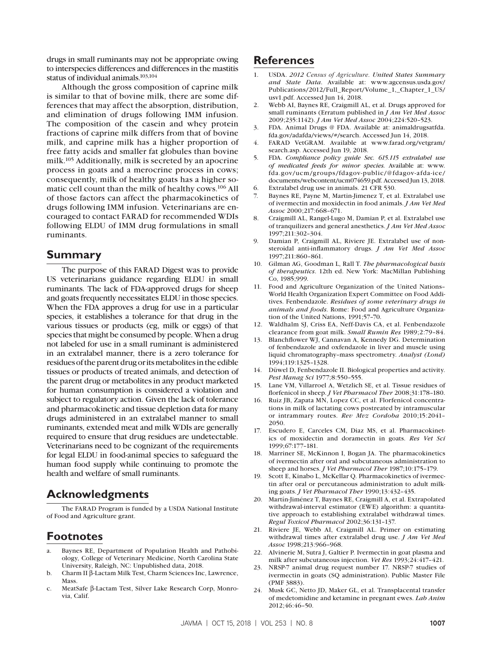drugs in small ruminants may not be appropriate owing to interspecies differences and differences in the mastitis status of individual animals.103,104

Although the gross composition of caprine milk is similar to that of bovine milk, there are some differences that may affect the absorption, distribution, and elimination of drugs following IMM infusion. The composition of the casein and whey protein fractions of caprine milk differs from that of bovine milk, and caprine milk has a higher proportion of free fatty acids and smaller fat globules than bovine milk.105 Additionally, milk is secreted by an apocrine process in goats and a merocrine process in cows; consequently, milk of healthy goats has a higher somatic cell count than the milk of healthy cows.106 All of those factors can affect the pharmacokinetics of drugs following IMM infusion. Veterinarians are encouraged to contact FARAD for recommended WDIs following ELDU of IMM drug formulations in small ruminants.

#### **Summary**

The purpose of this FARAD Digest was to provide US veterinarians guidance regarding ELDU in small ruminants. The lack of FDA-approved drugs for sheep and goats frequently necessitates ELDU in those species. When the FDA approves a drug for use in a particular species, it establishes a tolerance for that drug in the various tissues or products (eg, milk or eggs) of that species that might be consumed by people. When a drug not labeled for use in a small ruminant is administered in an extralabel manner, there is a zero tolerance for residues of the parent drug or its metabolites in the edible tissues or products of treated animals, and detection of the parent drug or metabolites in any product marketed for human consumption is considered a violation and subject to regulatory action. Given the lack of tolerance and pharmacokinetic and tissue depletion data for many drugs administered in an extralabel manner to small ruminants, extended meat and milk WDIs are generally required to ensure that drug residues are undetectable. Veterinarians need to be cognizant of the requirements for legal ELDU in food-animal species to safeguard the human food supply while continuing to promote the health and welfare of small ruminants.

# **Acknowledgments**

The FARAD Program is funded by a USDA National Institute of Food and Agriculture grant.

# **Footnotes**

- Baynes RE, Department of Population Health and Pathobiology, College of Veterinary Medicine, North Carolina State University, Raleigh, NC: Unpublished data, 2018.
- b. Charm II β-Lactam Milk Test, Charm Sciences Inc, Lawrence, Mass.
- c. MeatSafe β-Lactam Test, Silver Lake Research Corp, Monrovia, Calif.

# **References**

- 1. USDA. *2012 Census of Agriculture. United States Summary and State Data*. Available at: www.agcensus.usda.gov/ Publications/2012/Full\_Report/Volume\_1,\_Chapter\_1\_US/ usv1.pdf. Accessed Jun 14, 2018.
- 2. Webb AI, Baynes RE, Craigmill AL, et al. Drugs approved for small ruminants (Erratum published in *J Am Vet Med Assoc* 2009;235:1142). *J Am Vet Med Assoc* 2004;224:520–523.
- 3. FDA. Animal Drugs @ FDA. Available at: animaldrugsatfda. fda.gov/adafda/views/#/search. Accessed Jun 14, 2018.
- 4. FARAD VetGRAM. Available at www.farad.org/vetgram/ search.asp. Accessed Jun 19, 2018.
- 5. FDA. *Compliance policy guide Sec. 615.115 extralabel use of medicated feeds for minor species.* Available at: www. fda.gov/ucm/groups/fdagov-public/@fdagov-afda-ice/ documents/webcontent/ucm074659.pdf. Accessed Jun 13, 2018.
- 6. Extralabel drug use in animals. 21 CFR 530.
- 7. Baynes RE, Payne M, Martin-Jimenez T, et al. Extralabel use of ivermectin and moxidectin in food animals. *J Am Vet Med Assoc* 2000;217:668–671.
- 8. Craigmill AL, Rangel-Lugo M, Damian P, et al. Extralabel use of tranquilizers and general anesthetics. *J Am Vet Med Assoc* 1997;211:302–304.
- 9. Damian P, Craigmill AL, Riviere JE. Extralabel use of nonsteroidal anti-inflammatory drugs. *J Am Vet Med Assoc* 1997;211:860–861.
- 10. Gilman AG, Goodman L, Rall T. *The pharmacological basis of therapeutics*. 12th ed. New York: MacMillan Publishing Co, 1985;999.
- 11. Food and Agriculture Organization of the United Nations– World Health Organization Expert Committee on Food Additives. Fenbendazole. *Residues of some veterinary drugs in animals and foods*. Rome: Food and Agriculture Organization of the United Nations, 1991;57–70.
- 12. Waldhalm SJ, Criss EA, Neff-Davis CA, et al. Fenbendazole clearance from goat milk. *Small Rumin Res* 1989;2:79–84.
- Blanchflower WJ, Cannavan A, Kennedy DG. Determination of fenbendazole and oxfendazole in liver and muscle using liquid chromatography–mass spectrometry. *Analyst (Lond)* 1994;119:1325–1328.
- 14. Düwel D, Fenbendazole II. Biological properties and activity. *Pest Manag Sci* 1977;8:550–555.
- 15. Lane VM, Villarroel A, Wetzlich SE, et al. Tissue residues of florfenicol in sheep. *J Vet Pharmacol Ther* 2008;31:178–180.
- 16. Ruiz JB, Zapata MN, Lopez CC, et al. Florfenicol concentrations in milk of lactating cows postreated by intramuscular or intrammary routes. *Rev Mvz Cordoba* 2010;15:2041– 2050.
- 17. Escudero E, Carceles CM, Diaz MS, et al. Pharmacokinetics of moxidectin and doramectin in goats. *Res Vet Sci* 1999;67:177–181.
- 18. Marriner SE, McKinnon I, Bogan JA. The pharmacokinetics of ivermectin after oral and subcutaneous administration to sheep and horses. *J Vet Pharmacol Ther* 1987;10:175–179.
- Scott E, Kinabo L, McKellar Q. Pharmacokinetics of ivermectin after oral or percutaneous administration to adult milking goats. *J Vet Pharmacol Ther* 1990;13:432–435.
- 20. Martín-Jiménez T, Baynes RE, Craigmill A, et al. Extrapolated withdrawal-interval estimator (EWE) algorithm: a quantitative approach to establishing extralabel withdrawal times. *Regul Toxicol Pharmacol* 2002;36:131–137.
- 21. Riviere JE, Webb AI, Craigmill AL. Primer on estimating withdrawal times after extralabel drug use. *J Am Vet Med Assoc* 1998;213:966–968.
- 22. Alvinerie M, Sutra J, Galtier P. Ivermectin in goat plasma and milk after subcutaneous injection. *Vet Res* 1993;24:417–421.
- 23. NRSP-7 animal drug request number 17. NRSP-7 studies of ivermectin in goats (SQ administration). Public Master File (PMF 3883).
- 24. Musk GC, Netto JD, Maker GL, et al. Transplacental transfer of medetomidine and ketamine in pregnant ewes. *Lab Anim* 2012;46:46–50.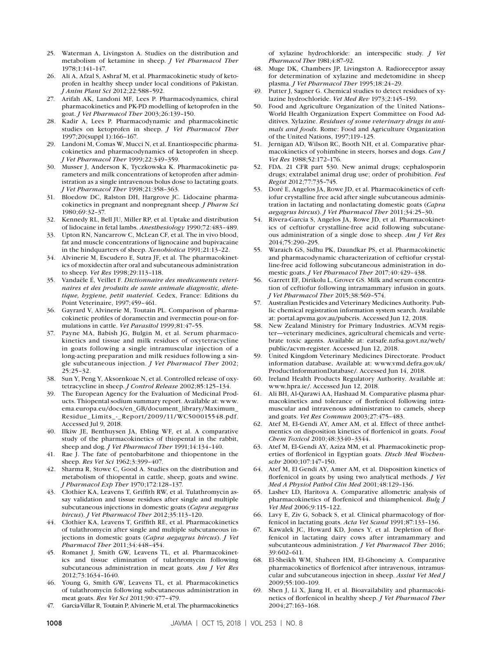- 25. Waterman A, Livingston A. Studies on the distribution and metabolism of ketamine in sheep. *J Vet Pharmacol Ther* 1978;1:141–147.
- 26. Ali A, Afzal S, Ashraf M, et al. Pharmacokinetic study of ketoprofen in healthy sheep under local conditions of Pakistan. *J Anim Plant Sci* 2012;22:588–592.
- 27. Arifah AK, Landoni MF, Lees P. Pharmacodynamics, chiral pharmacokinetics and PK-PD modelling of ketoprofen in the goat. *J Vet Pharmacol Ther* 2003;26:139–150.
- 28. Kadir A, Lees P. Pharmacodynamic and pharmacokinetic studies on ketoprofen in sheep. *J Vet Pharmacol Ther* 1997;20(suppl 1):166–167.
- 29. Landoni M, Comas W, Mucci N, et al. Enantiospecific pharmacokinetics and pharmacodynamics of ketoprofen in sheep. *J Vet Pharmacol Ther* 1999;22:349–359.
- 30. Musser J, Anderson K, Tyczkowska K. Pharmacokinetic parameters and milk concentrations of ketoprofen after administration as a single intravenous bolus dose to lactating goats. *J Vet Pharmacol Ther* 1998;21:358–363.
- 31. Bloedow DC, Ralston DH, Hargrove JC. Lidocaine pharmacokinetics in pregnant and nonpregnant sheep. *J Pharm Sci* 1980;69:32–37.
- 32. Kennedy RL, Bell JU, Miller RP, et al. Uptake and distribution of lidocaine in fetal lambs. *Anesthesiology* 1990;72:483–489.
- 33. Upton RN, Nancarrow C, McLean CF, et al. The in vivo blood, fat and muscle concentrations of lignocaine and bupivacaine in the hindquarters of sheep. *Xenobiotica* 1991;21:13–22.
- 34. Alvinerie M, Escudero E, Sutra JF, et al. The pharmacokinetics of moxidectin after oral and subcutaneous administration to sheep. *Vet Res* 1998;29:113–118.
- 35. Vandaële É, Veillet F. *Dictionnaire des medicaments veterinaires et des produits de sante animale diagnostic, dietetique, hygiene, petit materiel.* Cedex, France: Editions du Point Veterinaire, 1997;459–461.
- 36. Gayrard V, Alvinerie M, Toutain PL. Comparison of pharmacokinetic profiles of doramectin and ivermectin pour-on formulations in cattle. *Vet Parasitol* 1999;81:47–55.
- 37. Payne MA, Babish JG, Bulgin M, et al. Serum pharmacokinetics and tissue and milk residues of oxytetracycline in goats following a single intramuscular injection of a long-acting preparation and milk residues following a single subcutaneous injection. *J Vet Pharmacol Ther* 2002; 25:25–32.
- 38. Sun Y, Peng Y, Aksornkoae N, et al. Controlled release of oxytetracycline in sheep. *J Control Release* 2002;85:125–134.
- 39. The European Agency for the Evaluation of Medicinal Products. Thiopental sodium summary report. Available at: www. ema.europa.eu/docs/en\_GB/document\_library/Maximum\_ Residue\_Limits\_-\_Report/2009/11/WC500015548.pdf. Accessed Jul 9, 2018.
- 40. Ilkiw JE, Benthuysen JA, Ebling WF, et al. A comparative study of the pharmacokinetics of thiopental in the rabbit, sheep and dog. *J Vet Pharmacol Ther* 1991;14:134–140.
- 41. Rae J. The fate of pentobarbitone and thiopentone in the sheep. *Res Vet Sci* 1962;3:399–407.
- 42. Sharma R, Stowe C, Good A. Studies on the distribution and metabolism of thiopental in cattle, sheep, goats and swine. *J Pharmacol Exp Ther* 1970;172:128–137.
- 43. Clothier KA, Leavens T, Griffith RW, et al. Tulathromycin assay validation and tissue residues after single and multiple subcutaneous injections in domestic goats (*Capra aegagrus hircus*). *J Vet Pharmacol Ther* 2012;35:113–120.
- 44. Clothier KA, Leavens T, Griffith RE, et al. Pharmacokinetics of tulathromycin after single and multiple subcutaneous injections in domestic goats (*Capra aegagrus hircus*). *J Vet Pharmacol Ther* 2011;34:448–454.
- 45. Romanet J, Smith GW, Leavens TL, et al. Pharmacokinetics and tissue elimination of tulathromycin following subcutaneous administration in meat goats. *Am J Vet Res* 2012;73:1634–1640.
- 46. Young G, Smith GW, Leavens TL, et al. Pharmacokinetics of tulathromycin following subcutaneous administration in meat goats. *Res Vet Sci* 2011;90:477–479.
- 47. Garcia-Villar R, Toutain P, Alvinerie M, et al. The pharmacokinetics

of xylazine hydrochloride: an interspecific study. *J Vet Pharmacol Ther* 1981;4:87–92.

- 48. Muge DK, Chambers JP, Livingston A. Radioreceptor assay for determination of xylazine and medetomidine in sheep plasma. *J Vet Pharmacol Ther* 1995;18:24–29.
- 49. Putter J, Sagner G. Chemical studies to detect residues of xylazine hydrochloride. *Vet Med Rev* 1973;2:145–159.
- 50. Food and Agriculture Organization of the United Nations– World Health Organization Expert Committee on Food Additives. Xylazine. *Residues of some veterinary drugs in animals and foods*. Rome: Food and Agriculture Organization of the United Nations, 1997;119–125.
- 51. Jernigan AD, Wilson RC, Booth NH, et al. Comparative pharmacokinetics of yohimbine in steers, horses and dogs. *Can J Vet Res* 1988;52:172–176.
- 52. FDA. 21 CFR part 530. New animal drugs; cephalosporin drugs; extralabel animal drug use; order of prohibition. *Fed Regist* 2012;77:735–745.
- 53. Doré E, Angelos JA, Rowe JD, et al. Pharmacokinetics of ceftiofur crystalline free acid after single subcutaneous administration in lactating and nonlactating domestic goats (*Capra aegagrus hircus*). *J Vet Pharmacol Ther* 2011;34:25–30.
- 54. Rivera-Garcia S, Angelos JA, Rowe JD, et al. Pharmacokinetics of ceftiofur crystalline-free acid following subcutaneous administration of a single dose to sheep. *Am J Vet Res* 2014;75:290–295.
- 55. Waraich GS, Sidhu PK, Daundkar PS, et al. Pharmacokinetic and pharmacodynamic characterization of ceftiofur crystalline-free acid following subcutaneous administration in domestic goats. *J Vet Pharmacol Ther* 2017;40:429–438.
- 56. Garrett EF, Dirikolu L, Grover GS. Milk and serum concentration of ceftiofur following intramammary infusion in goats. *J Vet Pharmacol Ther* 2015;38:569–574.
- 57. Australian Pesticides and Veterinary Medicines Authority. Public chemical registration information system search. Available at: portal.apvma.gov.au/pubcris. Accessed Jun 12, 2018.
- 58. New Zealand Ministry for Primary Industries. ACVM register—veterinary medicines, agricultural chemicals and vertebrate toxic agents. Available at: eatsafe.nzfsa.govt.nz/web/ public/acvm-register. Accessed Jun 12, 2018.
- 59. United Kingdom Veterinary Medicines Directorate. Product information database. Available at: www.vmd.defra.gov.uk/ ProductInformationDatabase/. Accessed Jun 14, 2018.
- 60. Ireland Health Products Regulatory Authority. Available at: www.hpra.ie/. Accessed Jun 12, 2018.
- 61. Ali BH, Al-Qarawi AA, Hashaad M. Comparative plasma pharmacokinetics and tolerance of florfenicol following intramuscular and intravenous administration to camels, sheep and goats. *Vet Res Commun* 2003;27:475–483.
- 62. Atef M, El-Gendi AY, Amer AM, et al. Effect of three anthelmentics on disposition kinetics of florfenicol in goats. *Food Chem Toxicol* 2010;48:3340–3344.
- 63. Atef M, El-Gendi AY, Aziza MM, et al. Pharmacokinetic properties of florfenicol in Egyptian goats. *Dtsch Med Wochenschr* 2000;107:147–150.
- 64. Atef M, El Gendi AY, Amer AM, et al. Disposition kinetics of florfenicol in goats by using two analytical methods. *J Vet Med A Physiol Pathol Clin Med* 2001;48:129–136.
- 65. Lashev LD, Haritova A. Comparative allometric analysis of pharmacokinetics of florfenicol and thiamphenicol. *Bulg J Vet Med* 2006;9:115–122.
- 66. Lavy E, Ziv G, Soback S, et al. Clinical pharmacology of florfenicol in lactating goats. *Acta Vet Scand* 1991;87:133–136.
- 67. Kawalek JC, Howard KD, Jones Y, et al. Depletion of florfenicol in lactating dairy cows after intramammary and subcutanteous administration. *J Vet Pharmacol Ther* 2016; 39:602–611.
- 68. El-Sheikh WM, Shaheen HM, El-Ghoneimy A. Comparative pharmacokinetics of florfenicol after intravenous, intramuscular and subcutaneous injection in sheep. *Assiut Vet Med J* 2009;55:100–109.
- 69. Shen J, Li X, Jiang H, et al. Bioavailability and pharmacokinetics of florfenicol in healthy sheep. *J Vet Pharmacol Ther* 2004;27:163–168.